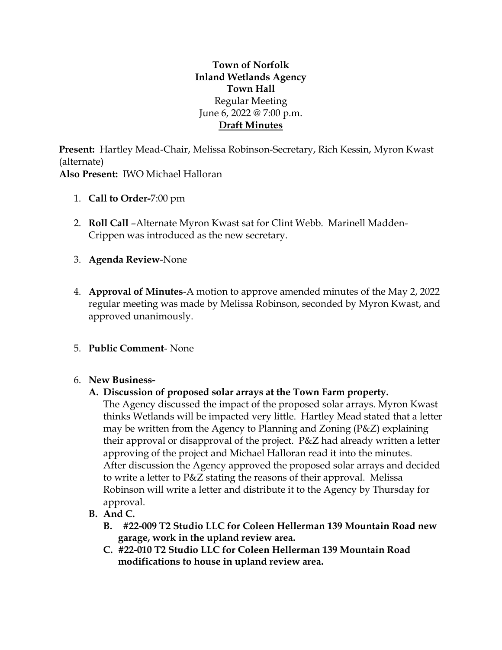# **Town of Norfolk Inland Wetlands Agency Town Hall** Regular Meeting June 6, 2022 @ 7:00 p.m. **Draft Minutes**

**Present:** Hartley Mead-Chair, Melissa Robinson-Secretary, Rich Kessin, Myron Kwast (alternate) **Also Present:** IWO Michael Halloran

- 1. **Call to Order-**7:00 pm
- 2. **Roll Call** –Alternate Myron Kwast sat for Clint Webb. Marinell Madden-Crippen was introduced as the new secretary.
- 3. **Agenda Review**-None
- 4. **Approval of Minutes**-A motion to approve amended minutes of the May 2, 2022 regular meeting was made by Melissa Robinson, seconded by Myron Kwast, and approved unanimously.
- 5. **Public Comment** None

### 6. **New Business-**

### **A. Discussion of proposed solar arrays at the Town Farm property.**

The Agency discussed the impact of the proposed solar arrays. Myron Kwast thinks Wetlands will be impacted very little. Hartley Mead stated that a letter may be written from the Agency to Planning and Zoning (P&Z) explaining their approval or disapproval of the project. P&Z had already written a letter approving of the project and Michael Halloran read it into the minutes. After discussion the Agency approved the proposed solar arrays and decided to write a letter to P&Z stating the reasons of their approval. Melissa Robinson will write a letter and distribute it to the Agency by Thursday for approval.

- **B. And C.** 
	- **B. #22-009 T2 Studio LLC for Coleen Hellerman 139 Mountain Road new garage, work in the upland review area.**
	- **C. #22-010 T2 Studio LLC for Coleen Hellerman 139 Mountain Road modifications to house in upland review area.**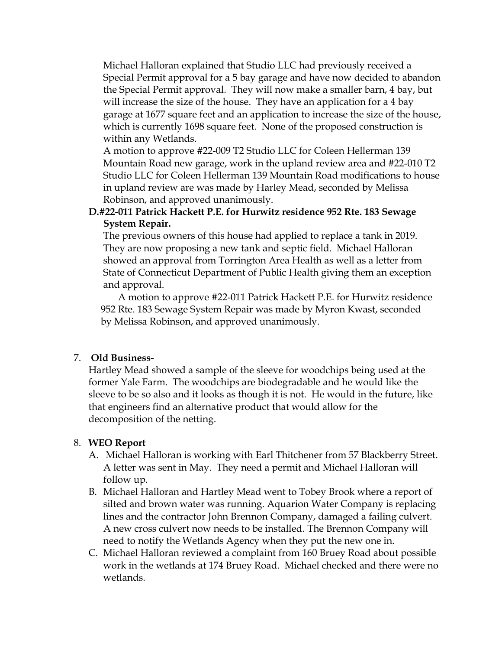Michael Halloran explained that Studio LLC had previously received a Special Permit approval for a 5 bay garage and have now decided to abandon the Special Permit approval. They will now make a smaller barn, 4 bay, but will increase the size of the house. They have an application for a 4 bay garage at 1677 square feet and an application to increase the size of the house, which is currently 1698 square feet. None of the proposed construction is within any Wetlands.

A motion to approve #22-009 T2 Studio LLC for Coleen Hellerman 139 Mountain Road new garage, work in the upland review area and #22-010 T2 Studio LLC for Coleen Hellerman 139 Mountain Road modifications to house in upland review are was made by Harley Mead, seconded by Melissa Robinson, and approved unanimously.

## **D.#22-011 Patrick Hackett P.E. for Hurwitz residence 952 Rte. 183 Sewage System Repair.**

The previous owners of this house had applied to replace a tank in 2019. They are now proposing a new tank and septic field. Michael Halloran showed an approval from Torrington Area Health as well as a letter from State of Connecticut Department of Public Health giving them an exception and approval.

A motion to approve #22-011 Patrick Hackett P.E. for Hurwitz residence 952 Rte. 183 Sewage System Repair was made by Myron Kwast, seconded by Melissa Robinson, and approved unanimously.

## 7. **Old Business-**

Hartley Mead showed a sample of the sleeve for woodchips being used at the former Yale Farm. The woodchips are biodegradable and he would like the sleeve to be so also and it looks as though it is not. He would in the future, like that engineers find an alternative product that would allow for the decomposition of the netting.

### 8. **WEO Report**

- A. Michael Halloran is working with Earl Thitchener from 57 Blackberry Street. A letter was sent in May. They need a permit and Michael Halloran will follow up.
- B. Michael Halloran and Hartley Mead went to Tobey Brook where a report of silted and brown water was running. Aquarion Water Company is replacing lines and the contractor John Brennon Company, damaged a failing culvert. A new cross culvert now needs to be installed. The Brennon Company will need to notify the Wetlands Agency when they put the new one in.
- C. Michael Halloran reviewed a complaint from 160 Bruey Road about possible work in the wetlands at 174 Bruey Road. Michael checked and there were no wetlands.